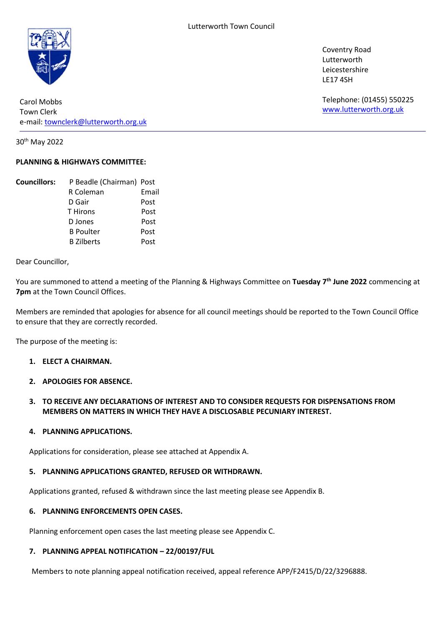

Carol Mobbs Town Clerk e-mail: [townclerk@lutterworth.org.uk](mailto:townclerk@lutterworth.org.uk)

30th May 2022

# **PLANNING & HIGHWAYS COMMITTEE:**

| <b>Councillors:</b> | P Beadle (Chairman) Post |       |
|---------------------|--------------------------|-------|
|                     | R Coleman                | Email |
|                     | D Gair                   | Post  |
|                     | <b>T</b> Hirons          | Post  |
|                     | D Jones                  | Post  |
|                     | <b>B</b> Poulter         | Post  |
|                     | <b>B</b> Zilberts        | Post  |

Dear Councillor,

You are summoned to attend a meeting of the Planning & Highways Committee on **Tuesday 7 th June 2022** commencing at **7pm** at the Town Council Offices.

Members are reminded that apologies for absence for all council meetings should be reported to the Town Council Office to ensure that they are correctly recorded.

The purpose of the meeting is:

## **1. ELECT A CHAIRMAN.**

**2. APOLOGIES FOR ABSENCE.**

# **3. TO RECEIVE ANY DECLARATIONS OF INTEREST AND TO CONSIDER REQUESTS FOR DISPENSATIONS FROM MEMBERS ON MATTERS IN WHICH THEY HAVE A DISCLOSABLE PECUNIARY INTEREST.**

#### **4. PLANNING APPLICATIONS.**

Applications for consideration, please see attached at Appendix A.

#### **5. PLANNING APPLICATIONS GRANTED, REFUSED OR WITHDRAWN.**

Applications granted, refused & withdrawn since the last meeting please see Appendix B.

#### **6. PLANNING ENFORCEMENTS OPEN CASES.**

Planning enforcement open cases the last meeting please see Appendix C.

#### **7. PLANNING APPEAL NOTIFICATION – 22/00197/FUL**

Members to note planning appeal notification received, appeal reference APP/F2415/D/22/3296888.

Coventry Road Lutterworth Leicestershire LE17 4SH

Telephone: (01455) 550225 [www.lutterworth.org.uk](http://www.lutterworth.org.uk/)